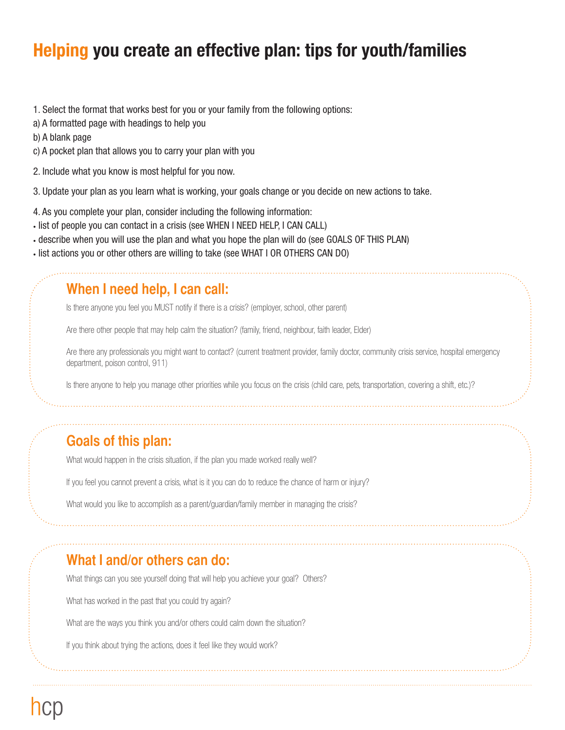# **Helping you create an effective plan: tips for youth/families**

- 1. Select the format that works best for you or your family from the following options:
- a) A formatted page with headings to help you
- b) A blank page
- c) A pocket plan that allows you to carry your plan with you
- 2. Include what you know is most helpful for you now.
- 3. Update your plan as you learn what is working, your goals change or you decide on new actions to take.
- 4. As you complete your plan, consider including the following information:
- list of people you can contact in a crisis (see WHEN I NEED HELP, I CAN CALL)
- describe when you will use the plan and what you hope the plan will do (see GOALS OF THIS PLAN)
- list actions you or other others are willing to take (see WHAT I OR OTHERS CAN DO)

#### **When I need help, I can call:**

Is there anyone you feel you MUST notify if there is a crisis? (employer, school, other parent)

Are there other people that may help calm the situation? (family, friend, neighbour, faith leader, Elder)

Are there any professionals you might want to contact? (current treatment provider, family doctor, community crisis service, hospital emergency department, poison control, 911)

Is there anyone to help you manage other priorities while you focus on the crisis (child care, pets, transportation, covering a shift, etc.)?

### **Goals of this plan:**

What would happen in the crisis situation, if the plan you made worked really well?

If you feel you cannot prevent a crisis, what is it you can do to reduce the chance of harm or injury?

What would you like to accomplish as a parent/guardian/family member in managing the crisis?

### **What I and/or others can do:**

What things can you see yourself doing that will help you achieve your goal? Others?

What has worked in the past that you could try again?

What are the ways you think you and/or others could calm down the situation?

If you think about trying the actions, does it feel like they would work?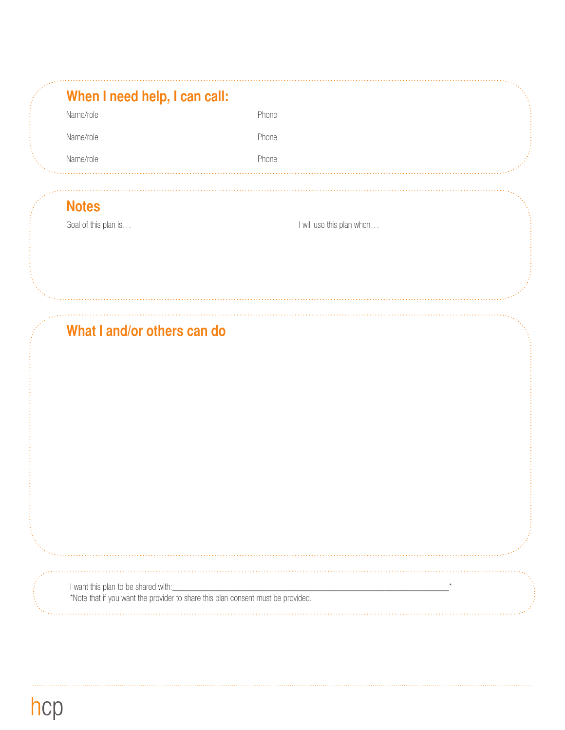| When I need help, I can call: |              |  |
|-------------------------------|--------------|--|
| Name/role                     | Phone        |  |
| Name/role                     | <b>Phone</b> |  |
| Name/role                     | Phone        |  |
|                               |              |  |

## **Notes**

Goal of this plan is…  $\Box$  is a control of the plan when  $\Box$  I will use this plan when  $\Box$ 

## **What I and/or others can do**

I want this plan to be shared with:

\*Note that if you want the provider to share this plan consent must be provided.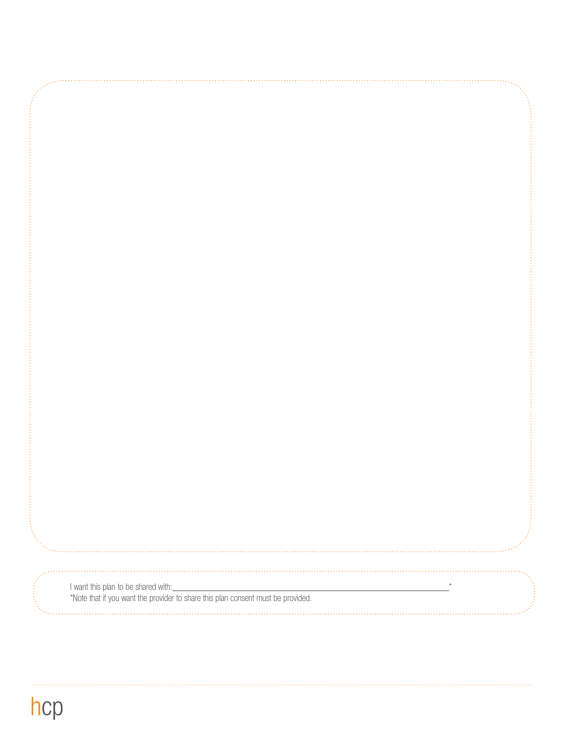I want this plan to be shared with:\_\_\_\_\_\_\_\_\_\_\_\_\_\_\_\_\_\_\_\_\_\_\_\_\_\_\_\_\_\_\_\_\_\_\_\_\_\_\_\_\_\_\_\_\_\_\_\_\_\_\_\_\_\_\_\_\_\_\_\_\*

\*Note that if you want the provider to share this plan consent must be provided.